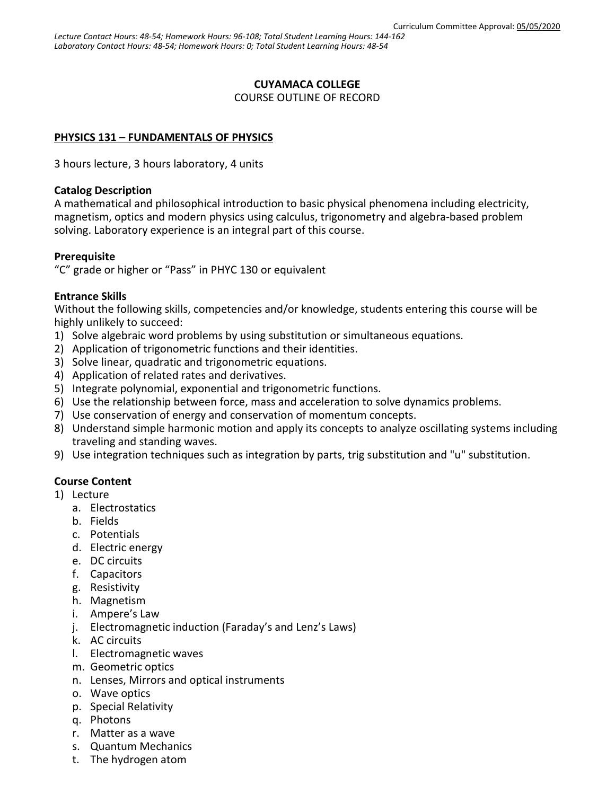# **CUYAMACA COLLEGE**

COURSE OUTLINE OF RECORD

# **PHYSICS 131** – **FUNDAMENTALS OF PHYSICS**

3 hours lecture, 3 hours laboratory, 4 units

#### **Catalog Description**

A mathematical and philosophical introduction to basic physical phenomena including electricity, magnetism, optics and modern physics using calculus, trigonometry and algebra-based problem solving. Laboratory experience is an integral part of this course.

#### **Prerequisite**

"C" grade or higher or "Pass" in PHYC 130 or equivalent

# **Entrance Skills**

Without the following skills, competencies and/or knowledge, students entering this course will be highly unlikely to succeed:

- 1) Solve algebraic word problems by using substitution or simultaneous equations.
- 2) Application of trigonometric functions and their identities.
- 3) Solve linear, quadratic and trigonometric equations.
- 4) Application of related rates and derivatives.
- 5) Integrate polynomial, exponential and trigonometric functions.
- 6) Use the relationship between force, mass and acceleration to solve dynamics problems.
- 7) Use conservation of energy and conservation of momentum concepts.
- 8) Understand simple harmonic motion and apply its concepts to analyze oscillating systems including traveling and standing waves.
- 9) Use integration techniques such as integration by parts, trig substitution and "u" substitution.

#### **Course Content**

- 1) Lecture
	- a. Electrostatics
	- b. Fields
	- c. Potentials
	- d. Electric energy
	- e. DC circuits
	- f. Capacitors
	- g. Resistivity
	- h. Magnetism
	- i. Ampere's Law
	- j. Electromagnetic induction (Faraday's and Lenz's Laws)
	- k. AC circuits
	- l. Electromagnetic waves
	- m. Geometric optics
	- n. Lenses, Mirrors and optical instruments
	- o. Wave optics
	- p. Special Relativity
	- q. Photons
	- r. Matter as a wave
	- s. Quantum Mechanics
	- t. The hydrogen atom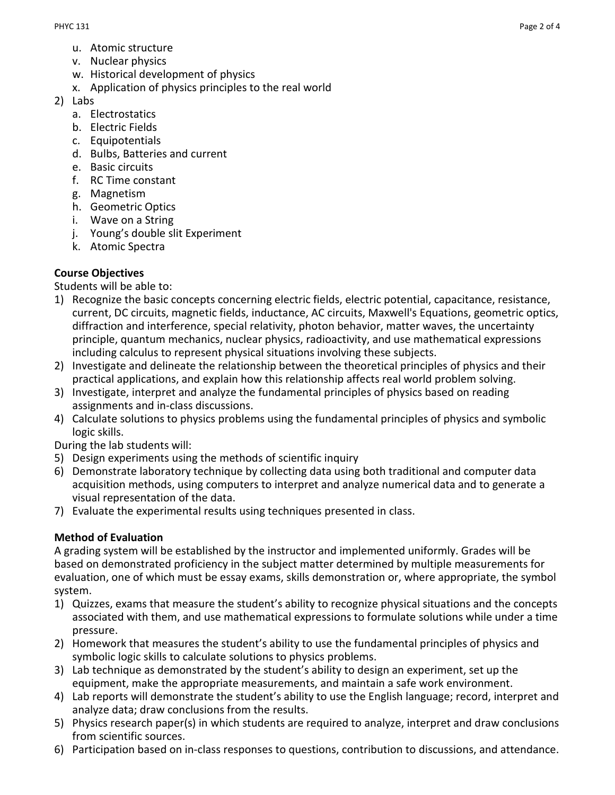- u. Atomic structure
- v. Nuclear physics
- w. Historical development of physics
- x. Application of physics principles to the real world
- 2) Labs
	- a. Electrostatics
	- b. Electric Fields
	- c. Equipotentials
	- d. Bulbs, Batteries and current
	- e. Basic circuits
	- f. RC Time constant
	- g. Magnetism
	- h. Geometric Optics
	- i. Wave on a String
	- j. Young's double slit Experiment
	- k. Atomic Spectra

# **Course Objectives**

Students will be able to:

- 1) Recognize the basic concepts concerning electric fields, electric potential, capacitance, resistance, current, DC circuits, magnetic fields, inductance, AC circuits, Maxwell's Equations, geometric optics, diffraction and interference, special relativity, photon behavior, matter waves, the uncertainty principle, quantum mechanics, nuclear physics, radioactivity, and use mathematical expressions including calculus to represent physical situations involving these subjects.
- 2) Investigate and delineate the relationship between the theoretical principles of physics and their practical applications, and explain how this relationship affects real world problem solving.
- 3) Investigate, interpret and analyze the fundamental principles of physics based on reading assignments and in-class discussions.
- 4) Calculate solutions to physics problems using the fundamental principles of physics and symbolic logic skills.

During the lab students will:

- 5) Design experiments using the methods of scientific inquiry
- 6) Demonstrate laboratory technique by collecting data using both traditional and computer data acquisition methods, using computers to interpret and analyze numerical data and to generate a visual representation of the data.
- 7) Evaluate the experimental results using techniques presented in class.

# **Method of Evaluation**

A grading system will be established by the instructor and implemented uniformly. Grades will be based on demonstrated proficiency in the subject matter determined by multiple measurements for evaluation, one of which must be essay exams, skills demonstration or, where appropriate, the symbol system.

- 1) Quizzes, exams that measure the student's ability to recognize physical situations and the concepts associated with them, and use mathematical expressions to formulate solutions while under a time pressure.
- 2) Homework that measures the student's ability to use the fundamental principles of physics and symbolic logic skills to calculate solutions to physics problems.
- 3) Lab technique as demonstrated by the student's ability to design an experiment, set up the equipment, make the appropriate measurements, and maintain a safe work environment.
- 4) Lab reports will demonstrate the student's ability to use the English language; record, interpret and analyze data; draw conclusions from the results.
- 5) Physics research paper(s) in which students are required to analyze, interpret and draw conclusions from scientific sources.
- 6) Participation based on in-class responses to questions, contribution to discussions, and attendance.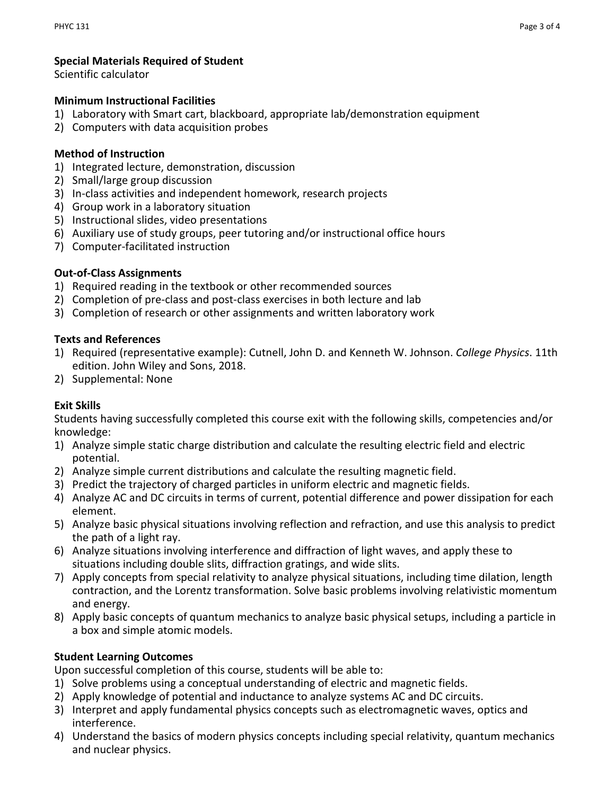# **Special Materials Required of Student**

Scientific calculator

#### **Minimum Instructional Facilities**

- 1) Laboratory with Smart cart, blackboard, appropriate lab/demonstration equipment
- 2) Computers with data acquisition probes

#### **Method of Instruction**

- 1) Integrated lecture, demonstration, discussion
- 2) Small/large group discussion
- 3) In-class activities and independent homework, research projects
- 4) Group work in a laboratory situation
- 5) Instructional slides, video presentations
- 6) Auxiliary use of study groups, peer tutoring and/or instructional office hours
- 7) Computer-facilitated instruction

# **Out-of-Class Assignments**

- 1) Required reading in the textbook or other recommended sources
- 2) Completion of pre-class and post-class exercises in both lecture and lab
- 3) Completion of research or other assignments and written laboratory work

#### **Texts and References**

- 1) Required (representative example): Cutnell, John D. and Kenneth W. Johnson. *College Physics*. 11th edition. John Wiley and Sons, 2018.
- 2) Supplemental: None

# **Exit Skills**

Students having successfully completed this course exit with the following skills, competencies and/or knowledge:

- 1) Analyze simple static charge distribution and calculate the resulting electric field and electric potential.
- 2) Analyze simple current distributions and calculate the resulting magnetic field.
- 3) Predict the trajectory of charged particles in uniform electric and magnetic fields.
- 4) Analyze AC and DC circuits in terms of current, potential difference and power dissipation for each element.
- 5) Analyze basic physical situations involving reflection and refraction, and use this analysis to predict the path of a light ray.
- 6) Analyze situations involving interference and diffraction of light waves, and apply these to situations including double slits, diffraction gratings, and wide slits.
- 7) Apply concepts from special relativity to analyze physical situations, including time dilation, length contraction, and the Lorentz transformation. Solve basic problems involving relativistic momentum and energy.
- 8) Apply basic concepts of quantum mechanics to analyze basic physical setups, including a particle in a box and simple atomic models.

# **Student Learning Outcomes**

Upon successful completion of this course, students will be able to:

- 1) Solve problems using a conceptual understanding of electric and magnetic fields.
- 2) Apply knowledge of potential and inductance to analyze systems AC and DC circuits.
- 3) Interpret and apply fundamental physics concepts such as electromagnetic waves, optics and interference.
- 4) Understand the basics of modern physics concepts including special relativity, quantum mechanics and nuclear physics.